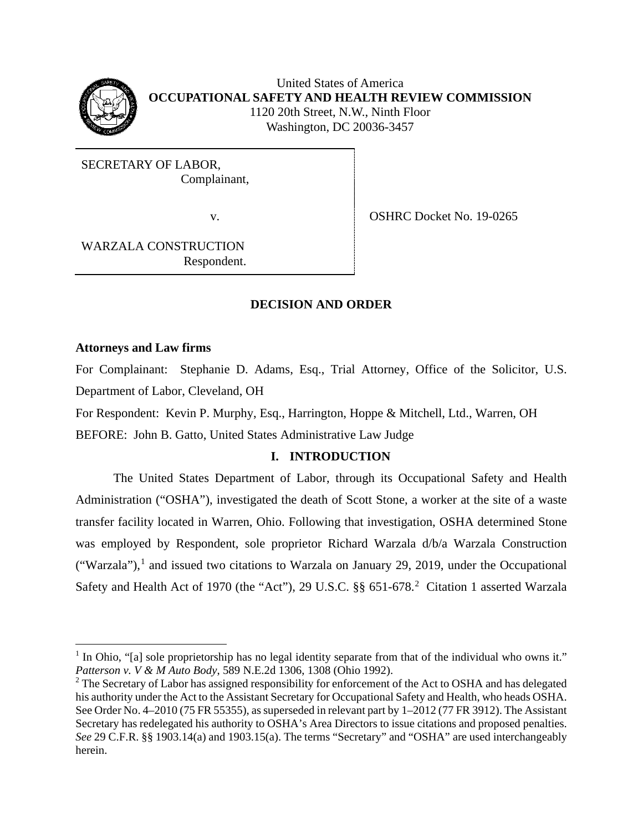

United States of America **OCCUPATIONAL SAFETY AND HEALTH REVIEW COMMISSION** 1120 20th Street, N.W., Ninth Floor Washington, DC 20036-3457

SECRETARY OF LABOR, Complainant,

v. SHRC Docket No. 19-0265

WARZALA CONSTRUCTION Respondent.

## **DECISION AND ORDER**

### **Attorneys and Law firms**

For Complainant: Stephanie D. Adams, Esq., Trial Attorney, Office of the Solicitor, U.S. Department of Labor, Cleveland, OH

For Respondent: Kevin P. Murphy, Esq., Harrington, Hoppe & Mitchell, Ltd., Warren, OH

BEFORE: John B. Gatto, United States Administrative Law Judge

# **I. INTRODUCTION**

The United States Department of Labor, through its Occupational Safety and Health Administration ("OSHA"), investigated the death of Scott Stone, a worker at the site of a waste transfer facility located in Warren, Ohio. Following that investigation, OSHA determined Stone was employed by Respondent, sole proprietor Richard Warzala d/b/a Warzala Construction ("Warzala"),<sup>[1](#page-0-0)</sup> and issued two citations to Warzala on January 29, 2019, under the Occupational Safety and Health Act of 1970 (the "Act"), [2](#page-0-1)9 U.S.C. §§ 651-678.<sup>2</sup> Citation 1 asserted Warzala

<span id="page-0-0"></span><sup>&</sup>lt;sup>1</sup> In Ohio, "[a] sole proprietorship has no legal identity separate from that of the individual who owns it." *Patterson v. V & M Auto Body*, 589 N.E.2d 1306, 1308 (Ohio 1992).

<span id="page-0-1"></span><sup>&</sup>lt;sup>2</sup> The Secretary of Labor has assigned responsibility for enforcement of the Act to OSHA and has delegated his authority under the Act to the Assistant Secretary for Occupational Safety and Health, who heads OSHA. See Order No. 4–2010 (75 FR 55355), as superseded in relevant part by 1–2012 (77 FR 3912). The Assistant Secretary has redelegated his authority to OSHA's Area Directors to issue citations and proposed penalties. *See* 29 C.F.R. §§ 1903.14(a) and 1903.15(a). The terms "Secretary" and "OSHA" are used interchangeably herein.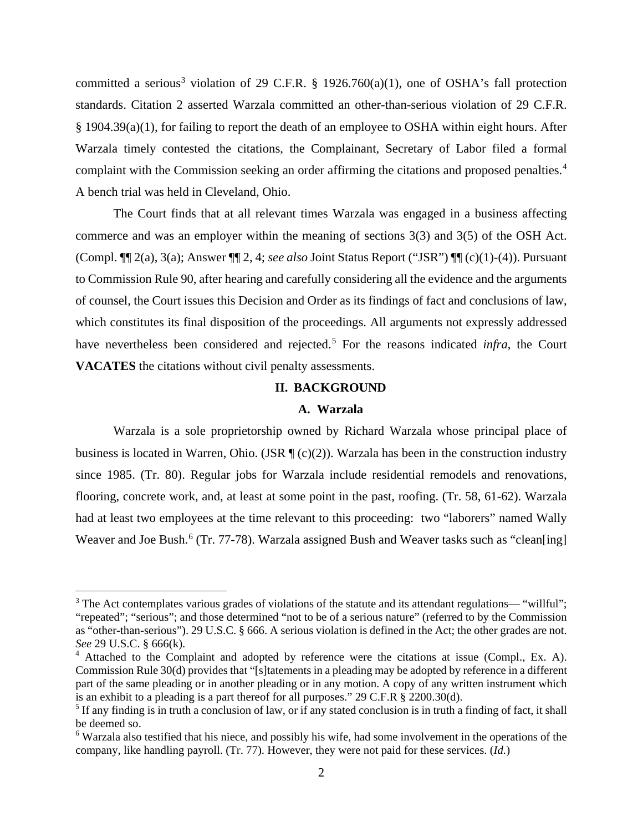committed a serious<sup>[3](#page-1-0)</sup> violation of 29 C.F.R. § 1926.760(a)(1), one of OSHA's fall protection standards. Citation 2 asserted Warzala committed an other-than-serious violation of 29 C.F.R. § 1904.39(a)(1), for failing to report the death of an employee to OSHA within eight hours. After Warzala timely contested the citations, the Complainant, Secretary of Labor filed a formal complaint with the Commission seeking an order affirming the citations and proposed penalties. [4](#page-1-1) A bench trial was held in Cleveland, Ohio.

The Court finds that at all relevant times Warzala was engaged in a business affecting commerce and was an employer within the meaning of sections 3(3) and 3(5) of the OSH Act. (Compl. ¶¶ 2(a), 3(a); Answer ¶¶ 2, 4; *see also* Joint Status Report ("JSR") ¶¶ (c)(1)-(4)). Pursuant to Commission Rule 90, after hearing and carefully considering all the evidence and the arguments of counsel, the Court issues this Decision and Order as its findings of fact and conclusions of law, which constitutes its final disposition of the proceedings. All arguments not expressly addressed have nevertheless been considered and rejected.<sup>[5](#page-1-2)</sup> For the reasons indicated *infra*, the Court **VACATES** the citations without civil penalty assessments.

## **II. BACKGROUND**

### **A. Warzala**

Warzala is a sole proprietorship owned by Richard Warzala whose principal place of business is located in Warren, Ohio. (JSR  $\P$  (c)(2)). Warzala has been in the construction industry since 1985. (Tr. 80). Regular jobs for Warzala include residential remodels and renovations, flooring, concrete work, and, at least at some point in the past, roofing. (Tr. 58, 61-62). Warzala had at least two employees at the time relevant to this proceeding: two "laborers" named Wally Weaver and Joe Bush.<sup>[6](#page-1-3)</sup> (Tr. 77-78). Warzala assigned Bush and Weaver tasks such as "clean[ing]

<span id="page-1-0"></span> $3$  The Act contemplates various grades of violations of the statute and its attendant regulations— "willful"; "repeated"; "serious"; and those determined "not to be of a serious nature" (referred to by the Commission as "other-than-serious"). 29 U.S.C. § 666. A serious violation is defined in the Act; the other grades are not. *See* 29 U.S.C. § 666(k).

<span id="page-1-1"></span><sup>&</sup>lt;sup>4</sup> Attached to the Complaint and adopted by reference were the citations at issue (Compl., Ex. A). Commission Rule 30(d) provides that "[s]tatements in a pleading may be adopted by reference in a different part of the same pleading or in another pleading or in any motion. A copy of any written instrument which is an exhibit to a pleading is a part thereof for all purposes." 29 C.F.R § 2200.30(d).

<span id="page-1-2"></span> $<sup>5</sup>$  If any finding is in truth a conclusion of law, or if any stated conclusion is in truth a finding of fact, it shall</sup> be deemed so.

<span id="page-1-3"></span><sup>6</sup> Warzala also testified that his niece, and possibly his wife, had some involvement in the operations of the company, like handling payroll. (Tr. 77). However, they were not paid for these services. (*Id.*)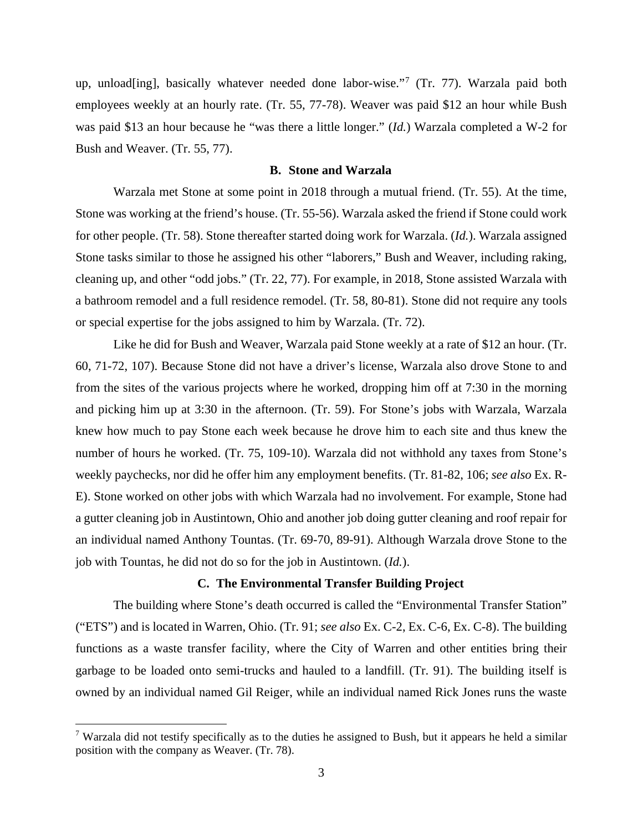up, unload[ing], basically whatever needed done labor-wise."[7](#page-2-0) (Tr. 77). Warzala paid both employees weekly at an hourly rate. (Tr. 55, 77-78). Weaver was paid \$12 an hour while Bush was paid \$13 an hour because he "was there a little longer." (*Id.*) Warzala completed a W-2 for Bush and Weaver. (Tr. 55, 77).

#### **B. Stone and Warzala**

Warzala met Stone at some point in 2018 through a mutual friend. (Tr. 55). At the time, Stone was working at the friend's house. (Tr. 55-56). Warzala asked the friend if Stone could work for other people. (Tr. 58). Stone thereafter started doing work for Warzala. (*Id.*). Warzala assigned Stone tasks similar to those he assigned his other "laborers," Bush and Weaver, including raking, cleaning up, and other "odd jobs." (Tr. 22, 77). For example, in 2018, Stone assisted Warzala with a bathroom remodel and a full residence remodel. (Tr. 58, 80-81). Stone did not require any tools or special expertise for the jobs assigned to him by Warzala. (Tr. 72).

Like he did for Bush and Weaver, Warzala paid Stone weekly at a rate of \$12 an hour. (Tr. 60, 71-72, 107). Because Stone did not have a driver's license, Warzala also drove Stone to and from the sites of the various projects where he worked, dropping him off at 7:30 in the morning and picking him up at 3:30 in the afternoon. (Tr. 59). For Stone's jobs with Warzala, Warzala knew how much to pay Stone each week because he drove him to each site and thus knew the number of hours he worked. (Tr. 75, 109-10). Warzala did not withhold any taxes from Stone's weekly paychecks, nor did he offer him any employment benefits. (Tr. 81-82, 106; *see also* Ex. R-E). Stone worked on other jobs with which Warzala had no involvement. For example, Stone had a gutter cleaning job in Austintown, Ohio and another job doing gutter cleaning and roof repair for an individual named Anthony Tountas. (Tr. 69-70, 89-91). Although Warzala drove Stone to the job with Tountas, he did not do so for the job in Austintown. (*Id.*).

### **C. The Environmental Transfer Building Project**

The building where Stone's death occurred is called the "Environmental Transfer Station" ("ETS") and is located in Warren, Ohio. (Tr. 91; *see also* Ex. C-2, Ex. C-6, Ex. C-8). The building functions as a waste transfer facility, where the City of Warren and other entities bring their garbage to be loaded onto semi-trucks and hauled to a landfill. (Tr. 91). The building itself is owned by an individual named Gil Reiger, while an individual named Rick Jones runs the waste

<span id="page-2-0"></span><sup>&</sup>lt;sup>7</sup> Warzala did not testify specifically as to the duties he assigned to Bush, but it appears he held a similar position with the company as Weaver. (Tr. 78).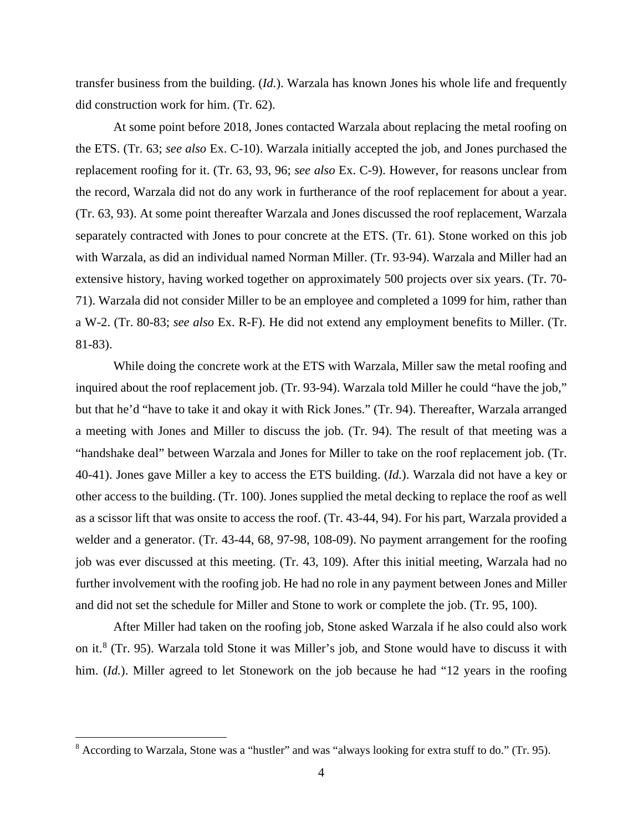transfer business from the building. (*Id.*). Warzala has known Jones his whole life and frequently did construction work for him. (Tr. 62).

At some point before 2018, Jones contacted Warzala about replacing the metal roofing on the ETS. (Tr. 63; *see also* Ex. C-10). Warzala initially accepted the job, and Jones purchased the replacement roofing for it. (Tr. 63, 93, 96; *see also* Ex. C-9). However, for reasons unclear from the record, Warzala did not do any work in furtherance of the roof replacement for about a year. (Tr. 63, 93). At some point thereafter Warzala and Jones discussed the roof replacement, Warzala separately contracted with Jones to pour concrete at the ETS. (Tr. 61). Stone worked on this job with Warzala, as did an individual named Norman Miller. (Tr. 93-94). Warzala and Miller had an extensive history, having worked together on approximately 500 projects over six years. (Tr. 70- 71). Warzala did not consider Miller to be an employee and completed a 1099 for him, rather than a W-2. (Tr. 80-83; *see also* Ex. R-F). He did not extend any employment benefits to Miller. (Tr. 81-83).

While doing the concrete work at the ETS with Warzala, Miller saw the metal roofing and inquired about the roof replacement job. (Tr. 93-94). Warzala told Miller he could "have the job," but that he'd "have to take it and okay it with Rick Jones." (Tr. 94). Thereafter, Warzala arranged a meeting with Jones and Miller to discuss the job. (Tr. 94). The result of that meeting was a "handshake deal" between Warzala and Jones for Miller to take on the roof replacement job. (Tr. 40-41). Jones gave Miller a key to access the ETS building. (*Id.*). Warzala did not have a key or other access to the building. (Tr. 100). Jones supplied the metal decking to replace the roof as well as a scissor lift that was onsite to access the roof. (Tr. 43-44, 94). For his part, Warzala provided a welder and a generator. (Tr. 43-44, 68, 97-98, 108-09). No payment arrangement for the roofing job was ever discussed at this meeting. (Tr. 43, 109). After this initial meeting, Warzala had no further involvement with the roofing job. He had no role in any payment between Jones and Miller and did not set the schedule for Miller and Stone to work or complete the job. (Tr. 95, 100).

After Miller had taken on the roofing job, Stone asked Warzala if he also could also work on it.[8](#page-3-0) (Tr. 95). Warzala told Stone it was Miller's job, and Stone would have to discuss it with him. *(Id.)*. Miller agreed to let Stonework on the job because he had "12 years in the roofing

<span id="page-3-0"></span><sup>8</sup> According to Warzala, Stone was a "hustler" and was "always looking for extra stuff to do." (Tr. 95).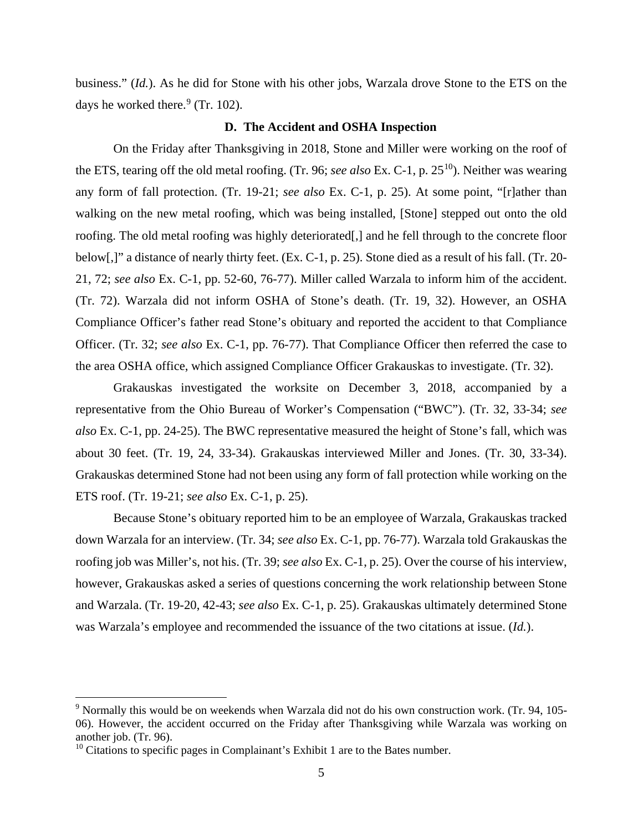business." (*Id.*). As he did for Stone with his other jobs, Warzala drove Stone to the ETS on the days he worked there.<sup>[9](#page-4-0)</sup> (Tr. 102).

#### **D. The Accident and OSHA Inspection**

On the Friday after Thanksgiving in 2018, Stone and Miller were working on the roof of the ETS, tearing off the old metal roofing. (Tr. 96; *see also* Ex. C-1, p. 25[10](#page-4-1)). Neither was wearing any form of fall protection. (Tr. 19-21; *see also* Ex. C-1, p. 25). At some point, "[r]ather than walking on the new metal roofing, which was being installed, [Stone] stepped out onto the old roofing. The old metal roofing was highly deteriorated[,] and he fell through to the concrete floor below[,]" a distance of nearly thirty feet. (Ex. C-1, p. 25). Stone died as a result of his fall. (Tr. 20- 21, 72; *see also* Ex. C-1, pp. 52-60, 76-77). Miller called Warzala to inform him of the accident. (Tr. 72). Warzala did not inform OSHA of Stone's death. (Tr. 19, 32). However, an OSHA Compliance Officer's father read Stone's obituary and reported the accident to that Compliance Officer. (Tr. 32; *see also* Ex. C-1, pp. 76-77). That Compliance Officer then referred the case to the area OSHA office, which assigned Compliance Officer Grakauskas to investigate. (Tr. 32).

Grakauskas investigated the worksite on December 3, 2018, accompanied by a representative from the Ohio Bureau of Worker's Compensation ("BWC"). (Tr. 32, 33-34; *see also* Ex. C-1, pp. 24-25). The BWC representative measured the height of Stone's fall, which was about 30 feet. (Tr. 19, 24, 33-34). Grakauskas interviewed Miller and Jones. (Tr. 30, 33-34). Grakauskas determined Stone had not been using any form of fall protection while working on the ETS roof. (Tr. 19-21; *see also* Ex. C-1, p. 25).

Because Stone's obituary reported him to be an employee of Warzala, Grakauskas tracked down Warzala for an interview. (Tr. 34; *see also* Ex. C-1, pp. 76-77). Warzala told Grakauskas the roofing job was Miller's, not his. (Tr. 39; *see also* Ex. C-1, p. 25). Over the course of his interview, however, Grakauskas asked a series of questions concerning the work relationship between Stone and Warzala. (Tr. 19-20, 42-43; *see also* Ex. C-1, p. 25). Grakauskas ultimately determined Stone was Warzala's employee and recommended the issuance of the two citations at issue. (*Id.*).

<span id="page-4-0"></span><sup>9</sup> Normally this would be on weekends when Warzala did not do his own construction work. (Tr. 94, 105- 06). However, the accident occurred on the Friday after Thanksgiving while Warzala was working on another job. (Tr. 96).

<span id="page-4-1"></span> $10$  Citations to specific pages in Complainant's Exhibit 1 are to the Bates number.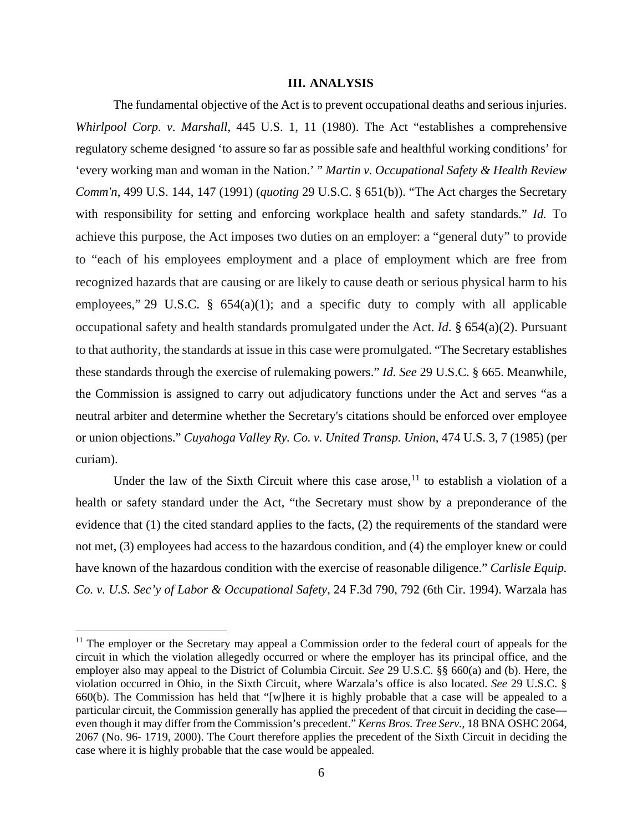#### **III. ANALYSIS**

The fundamental objective of the Act is to prevent occupational deaths and serious injuries. *Whirlpool Corp. v. Marshall*, 445 U.S. 1, 11 (1980). The Act "establishes a comprehensive regulatory scheme designed 'to assure so far as possible safe and healthful working conditions' for 'every working man and woman in the Nation.' " *Martin v. Occupational Safety & Health Review Comm'n*, 499 U.S. 144, 147 (1991) (*quoting* 29 U.S.C. § 651(b)). "The Act charges the Secretary with responsibility for setting and enforcing workplace health and safety standards." *Id.* To achieve this purpose, the Act imposes two duties on an employer: a "general duty" to provide to "each of his employees employment and a place of employment which are free from recognized hazards that are causing or are likely to cause death or serious physical harm to his employees," 29 U.S.C.  $\S$  654(a)(1); and a specific duty to comply with all applicable occupational safety and health standards promulgated under the Act. *Id.* § 654(a)(2). Pursuant to that authority, the standards at issue in this case were promulgated. "The Secretary establishes these standards through the exercise of rulemaking powers." *Id. See* 29 U.S.C. § 665. Meanwhile, the Commission is assigned to carry out adjudicatory functions under the Act and serves "as a neutral arbiter and determine whether the Secretary's citations should be enforced over employee or union objections." *Cuyahoga Valley Ry. Co. v. United Transp. Union*, 474 U.S. 3, 7 (1985) (per curiam).

Under the law of the Sixth Circuit where this case arose,<sup>[11](#page-5-0)</sup> to establish a violation of a health or safety standard under the Act, "the Secretary must show by a preponderance of the evidence that (1) the cited standard applies to the facts, (2) the requirements of the standard were not met, (3) employees had access to the hazardous condition, and (4) the employer knew or could have known of the hazardous condition with the exercise of reasonable diligence." *Carlisle Equip. Co. v. U.S. Sec'y of Labor & Occupational Safety*, 24 F.3d 790, 792 (6th Cir. 1994). Warzala has

<span id="page-5-0"></span><sup>&</sup>lt;sup>11</sup> The employer or the Secretary may appeal a Commission order to the federal court of appeals for the circuit in which the violation allegedly occurred or where the employer has its principal office, and the employer also may appeal to the District of Columbia Circuit. *See* 29 U.S.C. §§ 660(a) and (b). Here, the violation occurred in Ohio, in the Sixth Circuit, where Warzala's office is also located. *See* 29 U.S.C. § 660(b). The Commission has held that "[w]here it is highly probable that a case will be appealed to a particular circuit, the Commission generally has applied the precedent of that circuit in deciding the case even though it may differ from the Commission's precedent." *Kerns Bros. Tree Serv.*, 18 BNA OSHC 2064, 2067 (No. 96- 1719, 2000). The Court therefore applies the precedent of the Sixth Circuit in deciding the case where it is highly probable that the case would be appealed.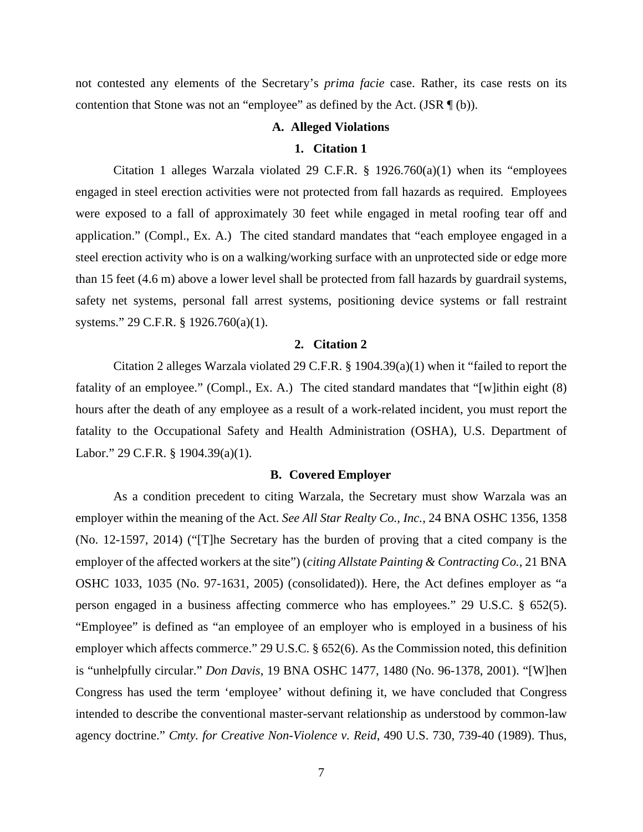not contested any elements of the Secretary's *prima facie* case. Rather, its case rests on its contention that Stone was not an "employee" as defined by the Act.  $(JSR \mathcal{F}(b))$ .

#### **A. Alleged Violations**

#### **1. Citation 1**

Citation 1 alleges Warzala violated 29 C.F.R.  $\S$  1926.760(a)(1) when its "employees engaged in steel erection activities were not protected from fall hazards as required. Employees were exposed to a fall of approximately 30 feet while engaged in metal roofing tear off and application." (Compl., Ex. A.) The cited standard mandates that "each employee engaged in a steel erection activity who is on a walking/working surface with an unprotected side or edge more than 15 feet (4.6 m) above a lower level shall be protected from fall hazards by guardrail systems, safety net systems, personal fall arrest systems, positioning device systems or fall restraint systems." 29 C.F.R. § 1926.760(a)(1).

#### **2. Citation 2**

Citation 2 alleges Warzala violated 29 C.F.R. § 1904.39(a)(1) when it "failed to report the fatality of an employee." (Compl., Ex. A.) The cited standard mandates that "[w]ithin eight (8) hours after the death of any employee as a result of a work-related incident, you must report the fatality to the Occupational Safety and Health Administration (OSHA), U.S. Department of Labor." 29 C.F.R. § 1904.39(a)(1).

### **B. Covered Employer**

As a condition precedent to citing Warzala, the Secretary must show Warzala was an employer within the meaning of the Act. *See All Star Realty Co., Inc.*, 24 BNA OSHC 1356, 1358 (No. 12-1597, 2014) ("[T]he Secretary has the burden of proving that a cited company is the employer of the affected workers at the site") (*citing Allstate Painting & Contracting Co.*, 21 BNA OSHC 1033, 1035 (No. 97-1631, 2005) (consolidated)). Here, the Act defines employer as "a person engaged in a business affecting commerce who has employees." 29 U.S.C. § 652(5). "Employee" is defined as "an employee of an employer who is employed in a business of his employer which affects commerce." 29 U.S.C. § 652(6). As the Commission noted, this definition is "unhelpfully circular." *Don Davis*, 19 BNA OSHC 1477, 1480 (No. 96-1378, 2001). "[W]hen Congress has used the term 'employee' without defining it, we have concluded that Congress intended to describe the conventional master-servant relationship as understood by common-law agency doctrine." *Cmty. for Creative Non-Violence v. Reid*, 490 U.S. 730, 739-40 (1989). Thus,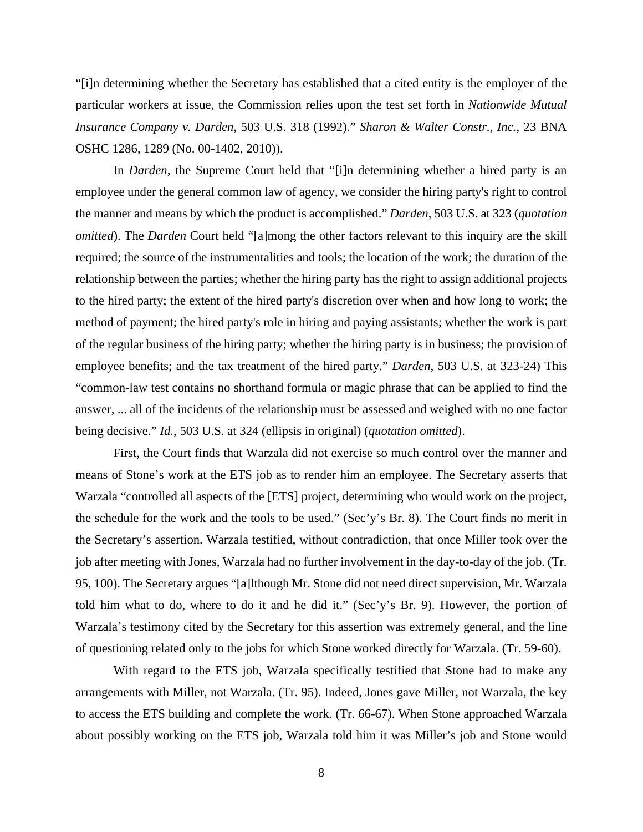"[i]n determining whether the Secretary has established that a cited entity is the employer of the particular workers at issue, the Commission relies upon the test set forth in *Nationwide Mutual Insurance Company v. Darden*, 503 U.S. 318 (1992)." *Sharon & Walter Constr., Inc.*, 23 BNA OSHC 1286, 1289 (No. 00-1402, 2010)).

In *Darden*, the Supreme Court held that "[i]n determining whether a hired party is an employee under the general common law of agency, we consider the hiring party's right to control the manner and means by which the product is accomplished." *Darden*, 503 U.S. at 323 (*quotation omitted*). The *Darden* Court held "[a]mong the other factors relevant to this inquiry are the skill required; the source of the instrumentalities and tools; the location of the work; the duration of the relationship between the parties; whether the hiring party has the right to assign additional projects to the hired party; the extent of the hired party's discretion over when and how long to work; the method of payment; the hired party's role in hiring and paying assistants; whether the work is part of the regular business of the hiring party; whether the hiring party is in business; the provision of employee benefits; and the tax treatment of the hired party." *Darden*, 503 U.S. at 323-24) This "common-law test contains no shorthand formula or magic phrase that can be applied to find the answer, ... all of the incidents of the relationship must be assessed and weighed with no one factor being decisive." *Id.*, 503 U.S. at 324 (ellipsis in original) (*quotation omitted*).

First, the Court finds that Warzala did not exercise so much control over the manner and means of Stone's work at the ETS job as to render him an employee. The Secretary asserts that Warzala "controlled all aspects of the [ETS] project, determining who would work on the project, the schedule for the work and the tools to be used." (Sec'y's Br. 8). The Court finds no merit in the Secretary's assertion. Warzala testified, without contradiction, that once Miller took over the job after meeting with Jones, Warzala had no further involvement in the day-to-day of the job. (Tr. 95, 100). The Secretary argues "[a]lthough Mr. Stone did not need direct supervision, Mr. Warzala told him what to do, where to do it and he did it." (Sec'y's Br. 9). However, the portion of Warzala's testimony cited by the Secretary for this assertion was extremely general, and the line of questioning related only to the jobs for which Stone worked directly for Warzala. (Tr. 59-60).

With regard to the ETS job, Warzala specifically testified that Stone had to make any arrangements with Miller, not Warzala. (Tr. 95). Indeed, Jones gave Miller, not Warzala, the key to access the ETS building and complete the work. (Tr. 66-67). When Stone approached Warzala about possibly working on the ETS job, Warzala told him it was Miller's job and Stone would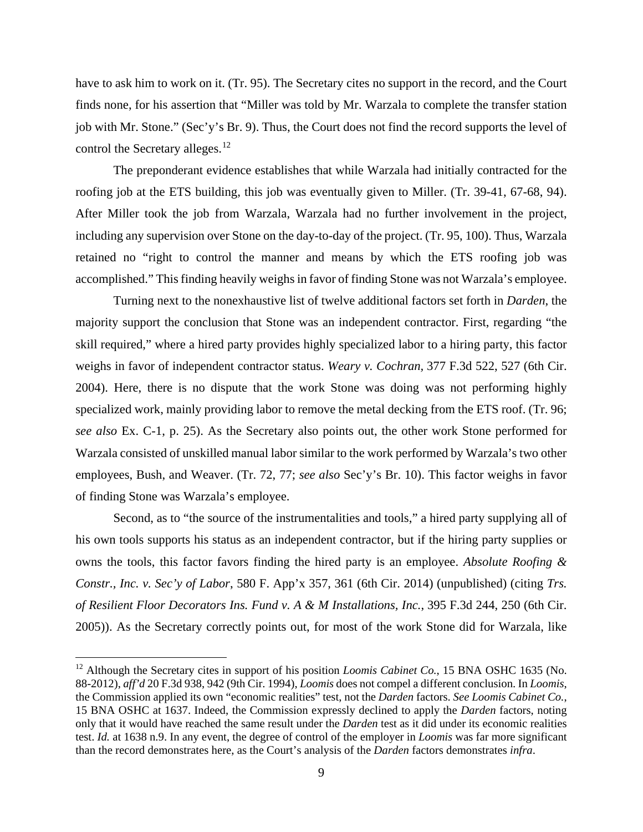have to ask him to work on it. (Tr. 95). The Secretary cites no support in the record, and the Court finds none, for his assertion that "Miller was told by Mr. Warzala to complete the transfer station job with Mr. Stone." (Sec'y's Br. 9). Thus, the Court does not find the record supports the level of control the Secretary alleges.<sup>[12](#page-8-0)</sup>

The preponderant evidence establishes that while Warzala had initially contracted for the roofing job at the ETS building, this job was eventually given to Miller. (Tr. 39-41, 67-68, 94). After Miller took the job from Warzala, Warzala had no further involvement in the project, including any supervision over Stone on the day-to-day of the project. (Tr. 95, 100). Thus, Warzala retained no "right to control the manner and means by which the ETS roofing job was accomplished." This finding heavily weighs in favor of finding Stone was not Warzala's employee.

Turning next to the nonexhaustive list of twelve additional factors set forth in *Darden*, the majority support the conclusion that Stone was an independent contractor. First, regarding "the skill required," where a hired party provides highly specialized labor to a hiring party, this factor weighs in favor of independent contractor status. *Weary v. Cochran,* 377 F.3d 522, 527 (6th Cir. 2004). Here, there is no dispute that the work Stone was doing was not performing highly specialized work, mainly providing labor to remove the metal decking from the ETS roof. (Tr. 96; *see also* Ex. C-1, p. 25). As the Secretary also points out, the other work Stone performed for Warzala consisted of unskilled manual labor similar to the work performed by Warzala's two other employees, Bush, and Weaver. (Tr. 72, 77; *see also* Sec'y's Br. 10). This factor weighs in favor of finding Stone was Warzala's employee.

Second, as to "the source of the instrumentalities and tools," a hired party supplying all of his own tools supports his status as an independent contractor, but if the hiring party supplies or owns the tools, this factor favors finding the hired party is an employee. *Absolute Roofing & Constr., Inc. v. Sec'y of Labor*, 580 F. App'x 357, 361 (6th Cir. 2014) (unpublished) (citing *Trs. of Resilient Floor Decorators Ins. Fund v. A & M Installations, Inc.*, 395 F.3d 244, 250 (6th Cir. 2005)). As the Secretary correctly points out, for most of the work Stone did for Warzala, like

<span id="page-8-0"></span><sup>&</sup>lt;sup>12</sup> Although the Secretary cites in support of his position *Loomis Cabinet Co.*, 15 BNA OSHC 1635 (No. 88-2012), *aff'd* 20 F.3d 938, 942 (9th Cir. 1994), *Loomis* does not compel a different conclusion. In *Loomis*, the Commission applied its own "economic realities" test, not the *Darden* factors. *See Loomis Cabinet Co.*, 15 BNA OSHC at 1637. Indeed, the Commission expressly declined to apply the *Darden* factors, noting only that it would have reached the same result under the *Darden* test as it did under its economic realities test. *Id.* at 1638 n.9. In any event, the degree of control of the employer in *Loomis* was far more significant than the record demonstrates here, as the Court's analysis of the *Darden* factors demonstrates *infra*.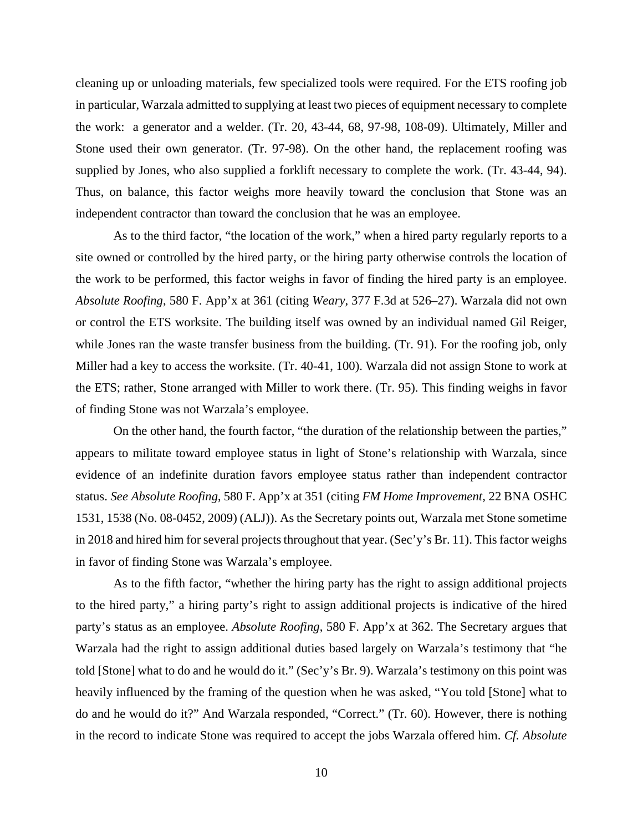cleaning up or unloading materials, few specialized tools were required. For the ETS roofing job in particular, Warzala admitted to supplying at least two pieces of equipment necessary to complete the work: a generator and a welder. (Tr. 20, 43-44, 68, 97-98, 108-09). Ultimately, Miller and Stone used their own generator. (Tr. 97-98). On the other hand, the replacement roofing was supplied by Jones, who also supplied a forklift necessary to complete the work. (Tr. 43-44, 94). Thus, on balance, this factor weighs more heavily toward the conclusion that Stone was an independent contractor than toward the conclusion that he was an employee.

As to the third factor, "the location of the work," when a hired party regularly reports to a site owned or controlled by the hired party, or the hiring party otherwise controls the location of the work to be performed, this factor weighs in favor of finding the hired party is an employee. *Absolute Roofing*, 580 F. App'x at 361 (citing *Weary*, 377 F.3d at 526–27). Warzala did not own or control the ETS worksite. The building itself was owned by an individual named Gil Reiger, while Jones ran the waste transfer business from the building. (Tr. 91). For the roofing job, only Miller had a key to access the worksite. (Tr. 40-41, 100). Warzala did not assign Stone to work at the ETS; rather, Stone arranged with Miller to work there. (Tr. 95). This finding weighs in favor of finding Stone was not Warzala's employee.

On the other hand, the fourth factor, "the duration of the relationship between the parties," appears to militate toward employee status in light of Stone's relationship with Warzala, since evidence of an indefinite duration favors employee status rather than independent contractor status. *See Absolute Roofing*, 580 F. App'x at 351 (citing *FM Home Improvement,* 22 BNA OSHC 1531, 1538 (No. 08-0452, 2009) (ALJ)). As the Secretary points out, Warzala met Stone sometime in 2018 and hired him for several projects throughout that year. (Sec'y's Br. 11). This factor weighs in favor of finding Stone was Warzala's employee.

As to the fifth factor, "whether the hiring party has the right to assign additional projects to the hired party," a hiring party's right to assign additional projects is indicative of the hired party's status as an employee. *Absolute Roofing*, 580 F. App'x at 362. The Secretary argues that Warzala had the right to assign additional duties based largely on Warzala's testimony that "he told [Stone] what to do and he would do it." (Sec'y's Br. 9). Warzala's testimony on this point was heavily influenced by the framing of the question when he was asked, "You told [Stone] what to do and he would do it?" And Warzala responded, "Correct." (Tr. 60). However, there is nothing in the record to indicate Stone was required to accept the jobs Warzala offered him. *Cf. Absolute*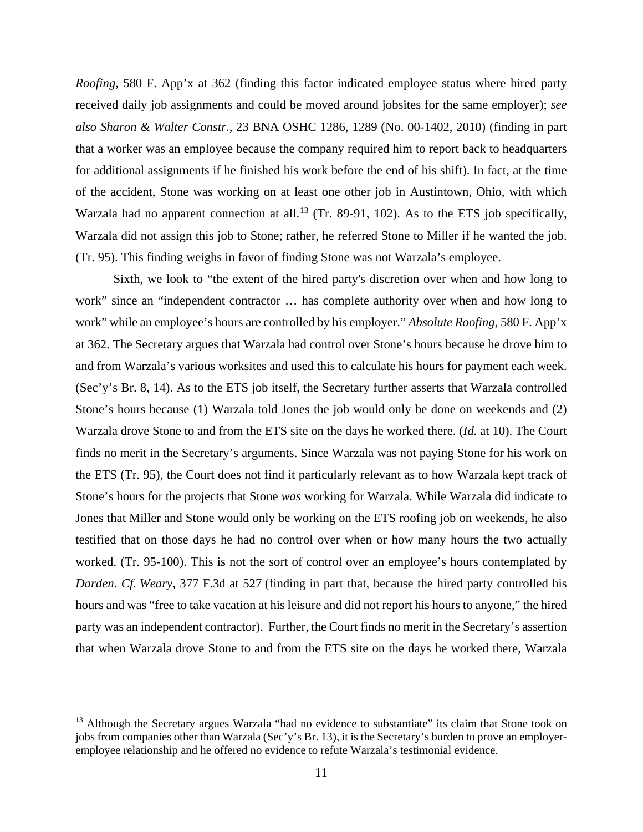*Roofing*, 580 F. App'x at 362 (finding this factor indicated employee status where hired party received daily job assignments and could be moved around jobsites for the same employer); *see also Sharon & Walter Constr.*, 23 BNA OSHC 1286, 1289 (No. 00-1402, 2010) (finding in part that a worker was an employee because the company required him to report back to headquarters for additional assignments if he finished his work before the end of his shift). In fact, at the time of the accident, Stone was working on at least one other job in Austintown, Ohio, with which Warzala had no apparent connection at all.<sup>[13](#page-10-0)</sup> (Tr. 89-91, 102). As to the ETS job specifically, Warzala did not assign this job to Stone; rather, he referred Stone to Miller if he wanted the job. (Tr. 95). This finding weighs in favor of finding Stone was not Warzala's employee.

Sixth, we look to "the extent of the hired party's discretion over when and how long to work" since an "independent contractor … has complete authority over when and how long to work" while an employee's hours are controlled by his employer." *Absolute Roofing*, 580 F. App'x at 362. The Secretary argues that Warzala had control over Stone's hours because he drove him to and from Warzala's various worksites and used this to calculate his hours for payment each week. (Sec'y's Br. 8, 14). As to the ETS job itself, the Secretary further asserts that Warzala controlled Stone's hours because (1) Warzala told Jones the job would only be done on weekends and (2) Warzala drove Stone to and from the ETS site on the days he worked there. (*Id.* at 10). The Court finds no merit in the Secretary's arguments. Since Warzala was not paying Stone for his work on the ETS (Tr. 95), the Court does not find it particularly relevant as to how Warzala kept track of Stone's hours for the projects that Stone *was* working for Warzala. While Warzala did indicate to Jones that Miller and Stone would only be working on the ETS roofing job on weekends, he also testified that on those days he had no control over when or how many hours the two actually worked. (Tr. 95-100). This is not the sort of control over an employee's hours contemplated by *Darden*. *Cf. Weary*, 377 F.3d at 527 (finding in part that, because the hired party controlled his hours and was "free to take vacation at his leisure and did not report his hours to anyone," the hired party was an independent contractor). Further, the Court finds no merit in the Secretary's assertion that when Warzala drove Stone to and from the ETS site on the days he worked there, Warzala

<span id="page-10-0"></span><sup>&</sup>lt;sup>13</sup> Although the Secretary argues Warzala "had no evidence to substantiate" its claim that Stone took on jobs from companies other than Warzala (Sec'y's Br. 13), it is the Secretary's burden to prove an employeremployee relationship and he offered no evidence to refute Warzala's testimonial evidence.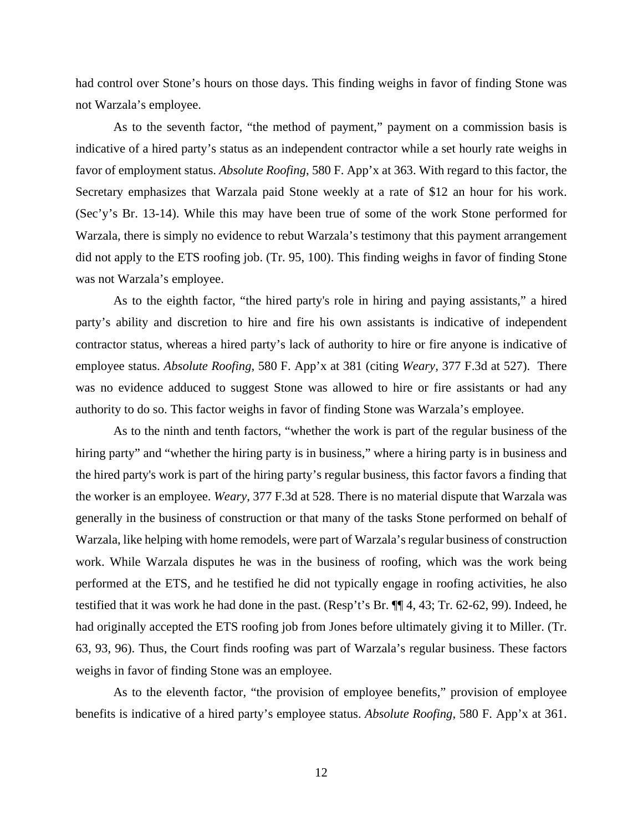had control over Stone's hours on those days. This finding weighs in favor of finding Stone was not Warzala's employee.

As to the seventh factor, "the method of payment," payment on a commission basis is indicative of a hired party's status as an independent contractor while a set hourly rate weighs in favor of employment status. *Absolute Roofing*, 580 F. App'x at 363. With regard to this factor, the Secretary emphasizes that Warzala paid Stone weekly at a rate of \$12 an hour for his work. (Sec'y's Br. 13-14). While this may have been true of some of the work Stone performed for Warzala, there is simply no evidence to rebut Warzala's testimony that this payment arrangement did not apply to the ETS roofing job. (Tr. 95, 100). This finding weighs in favor of finding Stone was not Warzala's employee.

As to the eighth factor, "the hired party's role in hiring and paying assistants," a hired party's ability and discretion to hire and fire his own assistants is indicative of independent contractor status, whereas a hired party's lack of authority to hire or fire anyone is indicative of employee status. *Absolute Roofing*, 580 F. App'x at 381 (citing *Weary,* 377 F.3d at 527). There was no evidence adduced to suggest Stone was allowed to hire or fire assistants or had any authority to do so. This factor weighs in favor of finding Stone was Warzala's employee.

As to the ninth and tenth factors, "whether the work is part of the regular business of the hiring party" and "whether the hiring party is in business," where a hiring party is in business and the hired party's work is part of the hiring party's regular business, this factor favors a finding that the worker is an employee. *Weary*, 377 F.3d at 528. There is no material dispute that Warzala was generally in the business of construction or that many of the tasks Stone performed on behalf of Warzala, like helping with home remodels, were part of Warzala's regular business of construction work. While Warzala disputes he was in the business of roofing, which was the work being performed at the ETS, and he testified he did not typically engage in roofing activities, he also testified that it was work he had done in the past. (Resp't's Br. ¶¶ 4, 43; Tr. 62-62, 99). Indeed, he had originally accepted the ETS roofing job from Jones before ultimately giving it to Miller. (Tr. 63, 93, 96). Thus, the Court finds roofing was part of Warzala's regular business. These factors weighs in favor of finding Stone was an employee.

As to the eleventh factor, "the provision of employee benefits," provision of employee benefits is indicative of a hired party's employee status. *Absolute Roofing*, 580 F. App'x at 361.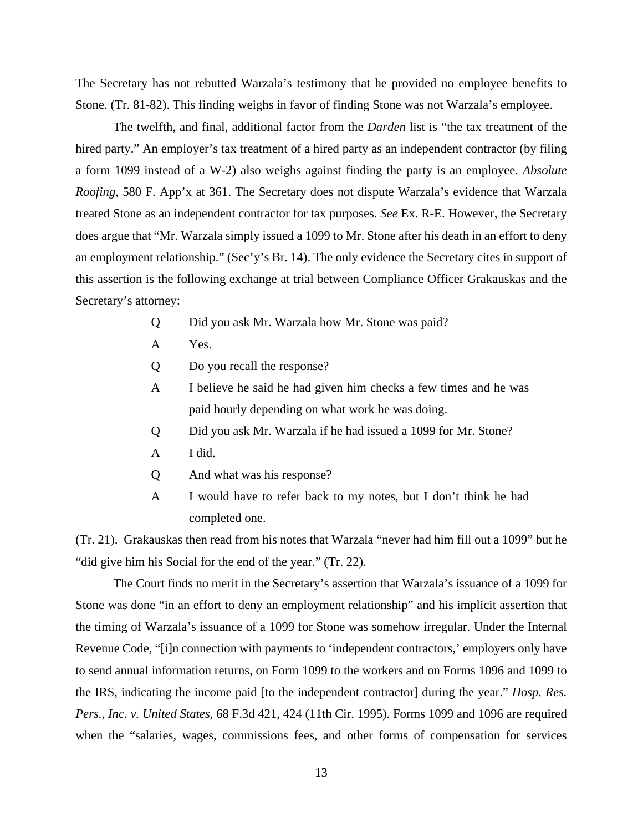The Secretary has not rebutted Warzala's testimony that he provided no employee benefits to Stone. (Tr. 81-82). This finding weighs in favor of finding Stone was not Warzala's employee.

The twelfth, and final, additional factor from the *Darden* list is "the tax treatment of the hired party." An employer's tax treatment of a hired party as an independent contractor (by filing a form 1099 instead of a W-2) also weighs against finding the party is an employee. *Absolute Roofing*, 580 F. App'x at 361. The Secretary does not dispute Warzala's evidence that Warzala treated Stone as an independent contractor for tax purposes. *See* Ex. R-E. However, the Secretary does argue that "Mr. Warzala simply issued a 1099 to Mr. Stone after his death in an effort to deny an employment relationship." (Sec'y's Br. 14). The only evidence the Secretary cites in support of this assertion is the following exchange at trial between Compliance Officer Grakauskas and the Secretary's attorney:

- Q Did you ask Mr. Warzala how Mr. Stone was paid?
- A Yes.
- Q Do you recall the response?
- A I believe he said he had given him checks a few times and he was paid hourly depending on what work he was doing.
- Q Did you ask Mr. Warzala if he had issued a 1099 for Mr. Stone?
- A I did.
- Q And what was his response?
- A I would have to refer back to my notes, but I don't think he had completed one.

(Tr. 21). Grakauskas then read from his notes that Warzala "never had him fill out a 1099" but he "did give him his Social for the end of the year." (Tr. 22).

The Court finds no merit in the Secretary's assertion that Warzala's issuance of a 1099 for Stone was done "in an effort to deny an employment relationship" and his implicit assertion that the timing of Warzala's issuance of a 1099 for Stone was somehow irregular. Under the Internal Revenue Code, "[i]n connection with payments to 'independent contractors,' employers only have to send annual information returns, on Form 1099 to the workers and on Forms 1096 and 1099 to the IRS, indicating the income paid [to the independent contractor] during the year." *Hosp. Res. Pers., Inc. v. United States,* 68 F.3d 421, 424 (11th Cir. 1995). Forms 1099 and 1096 are required when the "salaries, wages, commissions fees, and other forms of compensation for services